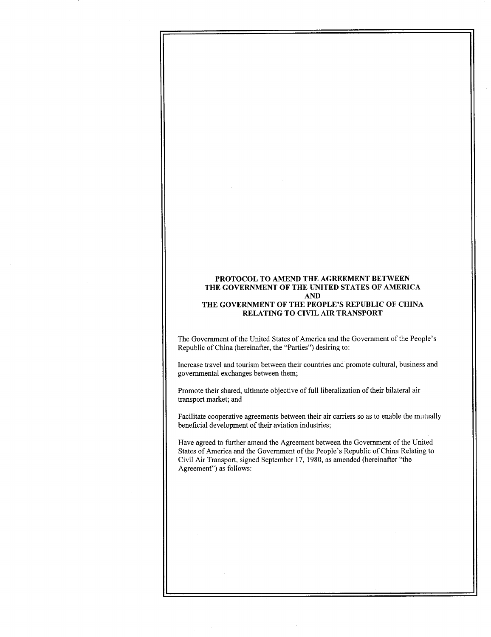# PROTOCOL TO AMEND THE AGREEMENT BETWEEN THE GOVERNMENT OF THE UNITED STATES OF AMERICA AND THE GOVERNMENT OF THE PEOPLE'S REPUBLIC OF CHINA RELATING TO CIVIL AIR TRANSPORT

The Government of the United States of America and the Government of the People's Republic of China (hereinafter, the "Parties") desiring to :

Increase travel and tourism between their countries and promote cultural, business and governmental exchanges between them;

Promote their shared, ultimate objective of full liberalization of their bilateral air transport market; and

Facilitate cooperative agreements between their air carriers so as to enable the mutually beneficial development of their aviation industries;

Have agreed to further amend the Agreement between the Government of the United States of America and the Government of the People's Republic of China Relating to Civil Air Transport, signed September 17, 1980, as amended (hereinafter "the Agreement") as follows :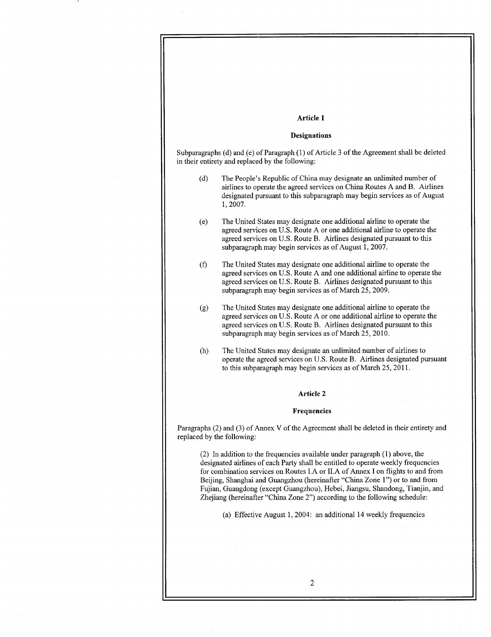# Article 1

 

# **Designations**

Subparagraphs (d) and (e) of Paragraph (1) of Article 3 of the Agreement shall be deleted in their entirety and replaced by the following:

- (d) The People's Republic of China may designate an unlimited number of airlines to operate the agreed services on China Routes A and B. Airlines designated pursuant to this subparagraph may begin services as of August 1, 2007.
- (e) The United States may designate one additional airline to operate the agreed services on U .S . Route A or one additional airline to operate the agreed services on U.S. Route B. Airlines designated pursuant to this subparagraph may begin services as of August 1, 2007.
- (f) The United States may designate one additional airline to operate the agreed services on U.S. Route A and one additional airline to operate the agreed services on U.S. Route B. Airlines designated pursuant to this subparagraph may begin services as of March 25, 2009.
- (g) The United States may designate one additional airline to operate the agreed services on U .S . Route A or one additional airline to operate the agreed services on U.S. Route B. Airlines designated pursuant to this subparagraph may begin services as of March 25, 2010.
- (h) The United States may designate an unlimited number of airlines to operate the agreed services on U.S. Route B. Airlines designated pursuant to this subparagraph may begin services as of March 25, 2011 .

## Article 2

## Frequencies

Paragraphs (2) and (3) of Annex V of the Agreement shall be deleted in their entirety and replaced by the following:

(2) In addition to the frequencies available under paragraph (1) above, the designated airlines of each Party shall be entitled to operate weekly frequencies for combination services on Routes LA or ILA of Annex I on flights to and from Beijing, Shanghai and Guangzhou (hereinafter "China Zone 1") or to and from Fujian, Guangdong (except Guangzhou), Hebei, Jiangsu, Shandong, Tianjin, and Zhejiang (hereinafter "China Zone 2") according to the following schedule :

(a) Effective August 1, 2004: an additional 14 weekly frequencies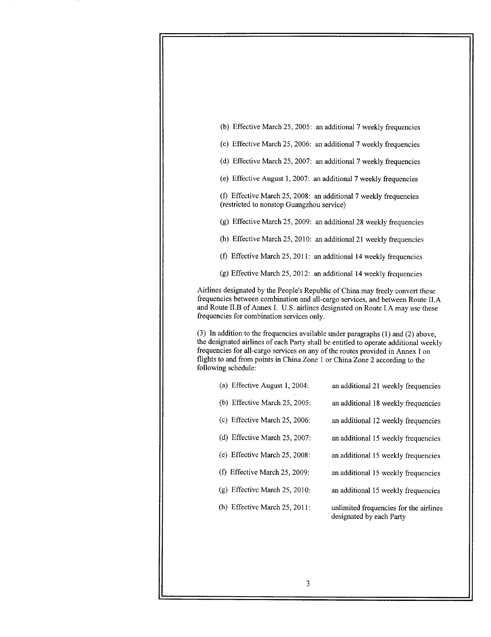(b) Effective March 25, 2005: an additional 7 weekly frequencies

(c) Effective March 25, 2006: an additional 7 weekly frequencies

- (d) Effective March 25, 2007: an additional 7 weekly frequencies
- (e) Effective August 1, 2007: an additional 7 weekly frequencies

(f) Effective March 25, 2008: an additional 7 weekly frequencies (restricted to nonstop Guangzhou service)

(g) Effective March 25, 2009: an additional 28 weekly frequencies

(h) Effective March 25, 2010: an additional 21 weekly frequencies

(f) Effective March 25, 2011: an additional 14 weekly frequencies

(g) Effective March 25, 2012 : an additional 14 weekly frequencies

Airlines designated by the People's Republic of China may freely convert these frequencies between combination and all-cargo services, and between Route II .A and Route II.B of Annex I. U.S. airlines designated on Route I.A may use these frequencies for combination services only.

(3) In addition to the frequencies available under paragraphs (1) and (2) above, the designated airlines of each Party shall be entitled to operate additional weekly frequencies for all-cargo services on any of the routes provided in Annex I on flights to and from points in China Zone I or China Zone 2 according to the following schedule:

| (a) Effective August 1, 2004:       | an additional 21 weekly frequencies                                |
|-------------------------------------|--------------------------------------------------------------------|
| (b) Effective March $25$ , $2005$ : | an additional 18 weekly frequencies                                |
| (c) Effective March $25$ , $2006$ : | an additional 12 weekly frequencies                                |
| (d) Effective March 25, 2007:       | an additional 15 weekly frequencies                                |
| (e) Effective March 25, 2008:       | an additional 15 weekly frequencies                                |
| (f) Effective March $25$ , $2009$ : | an additional 15 weekly frequencies                                |
| $(g)$ Effective March 25, 2010:     | an additional 15 weekly frequencies                                |
| (h) Effective March $25$ , $2011$ : | unlimited frequencies for the airlines<br>designated by each Party |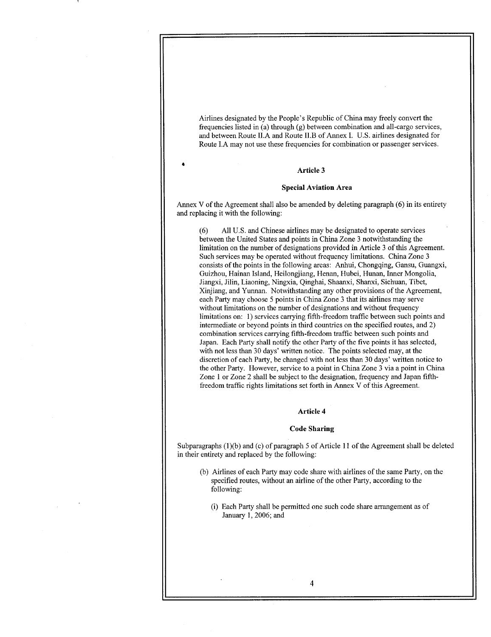Airlines designated by the People's Republic of China may freely convert the frequencies listed in (a) through (g) between combination and all-cargo services, and between Route II.A and Route II.B of Annex I. U.S. airlines designated for Route LA may not use these frequencies for combination or passenger services .

#### Article 3

 

#### Special Aviation Area

Annex V of the Agreement shall also be amended by deleting paragraph (6) in its entirety and replacing it with the following:

(6) All U.S. and Chinese airlines may be designated to operate services between the United States and points in China Zone 3 notwithstanding the limitation on the number of designations provided in Article 3 of this Agreement. Such services may be operated without frequency limitations. China Zone 3 consists of the points in the following areas: Anhui, Chongqing, Gansu, Guangxi, Guizhou, Hainan Island, Heilongjiang, Henan, Hubei, Hunan, Inner Mongolia, Jiangxi, Jilin, Liaoning, Ningxia, Qinghai, Shaanxi, Shanxi, Sichuan, Tibet, Xinjiang, and Yunnan. Notwithstanding any other provisions of the Agreement, each Party may choose 5 points in China Zone 3 that its airlines may serve without limitations on the number of designations and without frequency limitations on: 1) services carrying fifth-freedom traffic between such points and intermediate or beyond points in third countries on the specified routes, and 2) combination services carrying fifth-freedom traffic between such points and Japan. Each Party shall notify the other Party of the five points it has selected, with not less than 30 days' written notice. The points selected may, at the discretion of each Party, be changed with not less than 30 days' written notice to the other Party. However, service to a point in China Zone 3 via a point in China Zone 1 or Zone 2 shall be subject to the designation, frequency and Japan fifthfreedom traffic rights limitations set forth in Annex V of this Agreement.

# Article 4

#### Code Sharing

Subparagraphs (1)(b) and (c) of paragraph 5 of Article 11 of the Agreement shall be deleted in their entirety and replaced by the following:

- (b) Airlines of each Party may code share with airlines of the same Party, on the specified routes, without an airline of the other Party, according to the following:
	- (i) Each Party shall be permitted one such code share arrangement as of January 1, 2006; and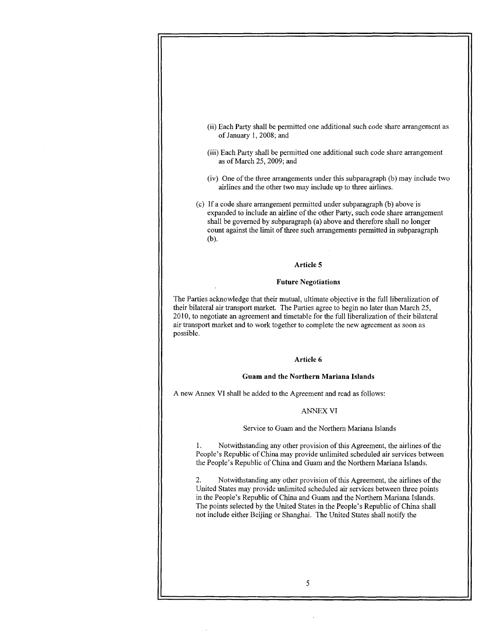

- (iii) Each Party shall be permitted one additional such code share arrangement as of March 25, 2009; and
- (iv) One of the three arrangements under this subparagraph (b) may include two airlines and the other two may include up to three airlines .
- (c) If a code share arrangement permitted under subparagraph (b) above is expanded to include an airline of the other Party, such code share arrangement shall be governed by subparagraph (a) above and therefore shall no longer count against the limit of three such arrangements permitted in subparagraph  $(b)$ .

# Article 5

#### Future Negotiations

The Parties acknowledge that their mutual, ultimate objective is the full liberalization of their bilateral air transport market. The Parties agree to begin no later than March 25, 2010, to negotiate an agreement and timetable for the full liberalization of their bilateral air transport market and to work together to complete the new agreement as soon as possible.

# Article 6

# Guam and the Northern Mariana Islands

A new Annex VI shall be added to the Agreement and read as follows :

# ANNEX VI

#### Service to Guam and the Northern Mariana Islands

<sup>1</sup> . Notwithstanding any other provision of this Agreement, the airlines of the People's Republic of China may provide unlimited scheduled air services between the People's Republic of China and Guam and the Northern Mariana Islands.

2 . Notwithstanding any other provision of this Agreement, the airlines of the United States may provide unlimited scheduled air services between three points in the People's Republic of China and Guam and the Northern Mariana Islands . The points selected by the United States in the People's Republic of China shall not include either Beijing or Shanghai. The United States shall notify the